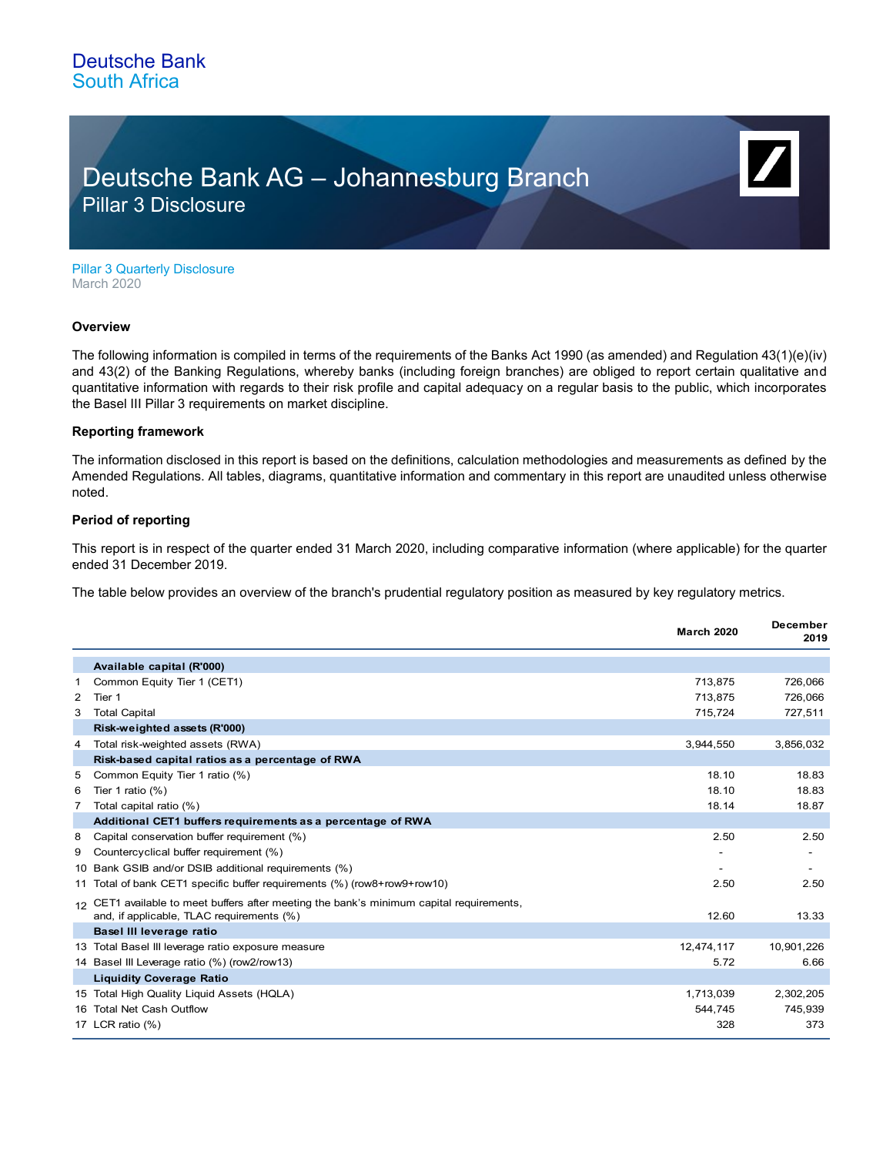## Deutsche Bank AG – Johannesburg Branch Pillar 3 Disclosure

Pillar 3 Quarterly Disclosure March 2020

#### **Overview**

The following information is compiled in terms of the requirements of the Banks Act 1990 (as amended) and Regulation 43(1)(e)(iv) and 43(2) of the Banking Regulations, whereby banks (including foreign branches) are obliged to report certain qualitative and quantitative information with regards to their risk profile and capital adequacy on a regular basis to the public, which incorporates the Basel III Pillar 3 requirements on market discipline.

#### **Reporting framework**

The information disclosed in this report is based on the definitions, calculation methodologies and measurements as defined by the Amended Regulations. All tables, diagrams, quantitative information and commentary in this report are unaudited unless otherwise noted.

### **Period of reporting**

This report is in respect of the quarter ended 31 March 2020, including comparative information (where applicable) for the quarter ended 31 December 2019.

The table below provides an overview of the branch's prudential regulatory position as measured by key regulatory metrics.

|   |                                                                                                                                       | <b>March 2020</b> | <b>December</b><br>2019 |
|---|---------------------------------------------------------------------------------------------------------------------------------------|-------------------|-------------------------|
|   | Available capital (R'000)                                                                                                             |                   |                         |
| 1 | Common Equity Tier 1 (CET1)                                                                                                           | 713,875           | 726,066                 |
| 2 | Tier 1                                                                                                                                | 713,875           | 726,066                 |
| 3 | <b>Total Capital</b>                                                                                                                  | 715,724           | 727,511                 |
|   | Risk-weighted assets (R'000)                                                                                                          |                   |                         |
| 4 | Total risk-weighted assets (RWA)                                                                                                      | 3,944,550         | 3,856,032               |
|   | Risk-based capital ratios as a percentage of RWA                                                                                      |                   |                         |
| 5 | Common Equity Tier 1 ratio (%)                                                                                                        | 18.10             | 18.83                   |
| 6 | Tier 1 ratio $(\%)$                                                                                                                   | 18.10             | 18.83                   |
| 7 | Total capital ratio (%)                                                                                                               | 18.14             | 18.87                   |
|   | Additional CET1 buffers requirements as a percentage of RWA                                                                           |                   |                         |
| 8 | Capital conservation buffer requirement (%)                                                                                           | 2.50              | 2.50                    |
| 9 | Countercyclical buffer requirement (%)                                                                                                |                   |                         |
|   | 10 Bank GSIB and/or DSIB additional requirements (%)                                                                                  |                   |                         |
|   | 11 Total of bank CET1 specific buffer requirements (%) (row8+row9+row10)                                                              | 2.50              | 2.50                    |
|   | 12 CET1 available to meet buffers after meeting the bank's minimum capital requirements,<br>and, if applicable, TLAC requirements (%) | 12.60             | 13.33                   |
|   | Basel III leverage ratio                                                                                                              |                   |                         |
|   | 13 Total Basel III leverage ratio exposure measure                                                                                    | 12,474,117        | 10,901,226              |
|   | 14 Basel III Leverage ratio (%) (row2/row13)                                                                                          | 5.72              | 6.66                    |
|   | <b>Liquidity Coverage Ratio</b>                                                                                                       |                   |                         |
|   | 15 Total High Quality Liquid Assets (HQLA)                                                                                            | 1,713,039         | 2,302,205               |
|   | 16 Total Net Cash Outflow                                                                                                             | 544,745           | 745,939                 |
|   | 17 LCR ratio (%)                                                                                                                      | 328               | 373                     |